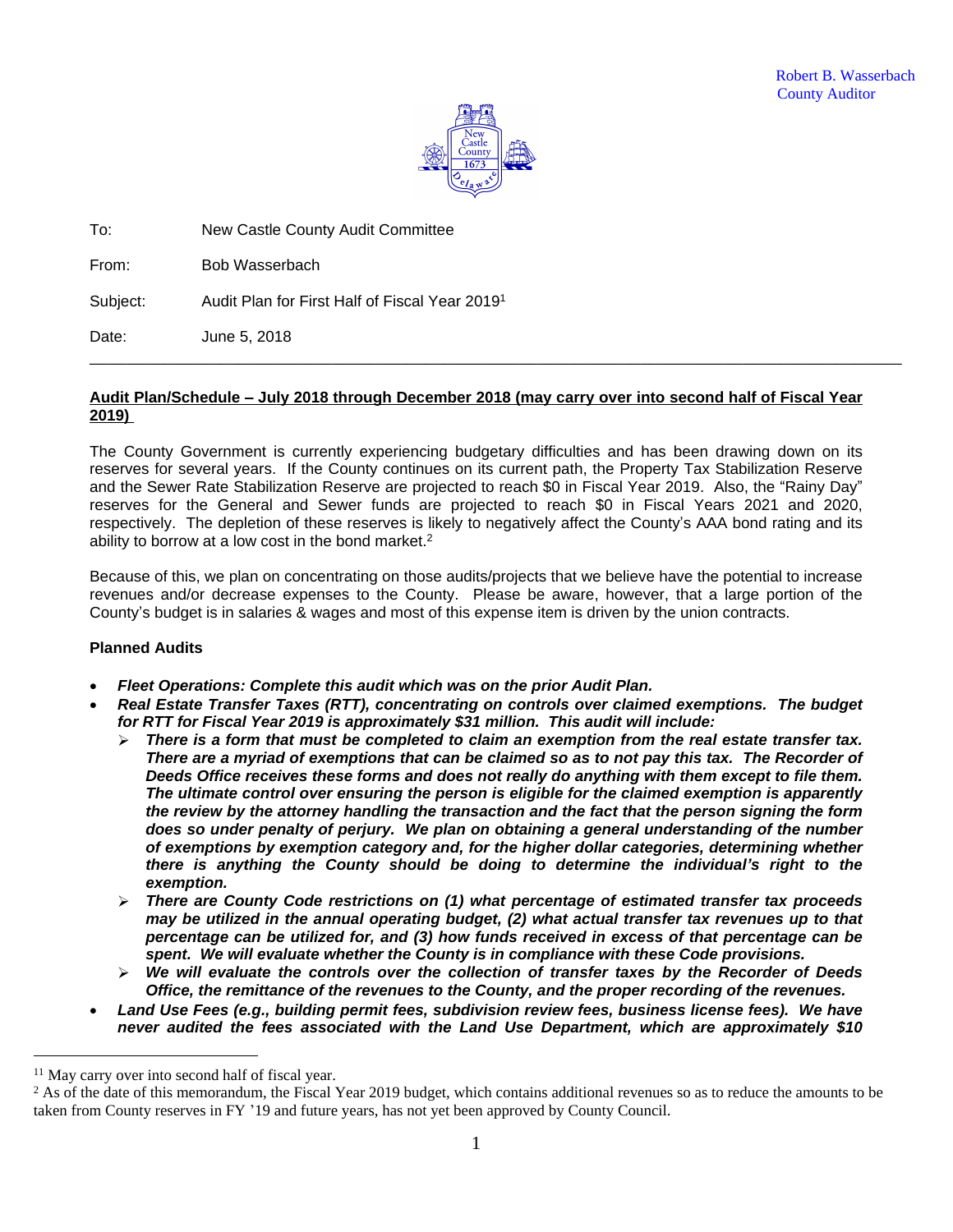

To: New Castle County Audit Committee

From: Bob Wasserbach

Subject: Audit Plan for First Half of Fiscal Year 2019<sup>1</sup>

Date: June 5, 2018

## **Audit Plan/Schedule – July 2018 through December 2018 (may carry over into second half of Fiscal Year 2019)**

\_\_\_\_\_\_\_\_\_\_\_\_\_\_\_\_\_\_\_\_\_\_\_\_\_\_\_\_\_\_\_\_\_\_\_\_\_\_\_\_\_\_\_\_\_\_\_\_\_\_\_\_\_\_\_\_\_\_\_\_\_\_\_\_\_\_\_\_\_\_\_\_\_\_\_\_\_\_\_\_\_\_\_\_\_\_\_

The County Government is currently experiencing budgetary difficulties and has been drawing down on its reserves for several years. If the County continues on its current path, the Property Tax Stabilization Reserve and the Sewer Rate Stabilization Reserve are projected to reach \$0 in Fiscal Year 2019. Also, the "Rainy Day" reserves for the General and Sewer funds are projected to reach \$0 in Fiscal Years 2021 and 2020, respectively. The depletion of these reserves is likely to negatively affect the County's AAA bond rating and its ability to borrow at a low cost in the bond market.<sup>2</sup>

Because of this, we plan on concentrating on those audits/projects that we believe have the potential to increase revenues and/or decrease expenses to the County. Please be aware, however, that a large portion of the County's budget is in salaries & wages and most of this expense item is driven by the union contracts.

# **Planned Audits**

- *Fleet Operations: Complete this audit which was on the prior Audit Plan.*
- *Real Estate Transfer Taxes (RTT), concentrating on controls over claimed exemptions. The budget for RTT for Fiscal Year 2019 is approximately \$31 million. This audit will include:*
	- *There is a form that must be completed to claim an exemption from the real estate transfer tax.* There are a myriad of exemptions that can be claimed so as to not pay this tax. The Recorder of *Deeds Office receives these forms and does not really do anything with them except to file them. The ultimate control over ensuring the person is eligible for the claimed exemption is apparently the review by the attorney handling the transaction and the fact that the person signing the form does so under penalty of perjury. We plan on obtaining a general understanding of the number of exemptions by exemption category and, for the higher dollar categories, determining whether there is anything the County should be doing to determine the individual's right to the exemption.*
	- *There are County Code restrictions on (1) what percentage of estimated transfer tax proceeds may be utilized in the annual operating budget, (2) what actual transfer tax revenues up to that percentage can be utilized for, and (3) how funds received in excess of that percentage can be spent. We will evaluate whether the County is in compliance with these Code provisions.*
	- *We will evaluate the controls over the collection of transfer taxes by the Recorder of Deeds Office, the remittance of the revenues to the County, and the proper recording of the revenues.*
- *Land Use Fees (e.g., building permit fees, subdivision review fees, business license fees). We have never audited the fees associated with the Land Use Department, which are approximately \$10*

<sup>&</sup>lt;sup>11</sup> May carry over into second half of fiscal year.

<sup>&</sup>lt;sup>2</sup> As of the date of this memorandum, the Fiscal Year 2019 budget, which contains additional revenues so as to reduce the amounts to be taken from County reserves in FY '19 and future years, has not yet been approved by County Council.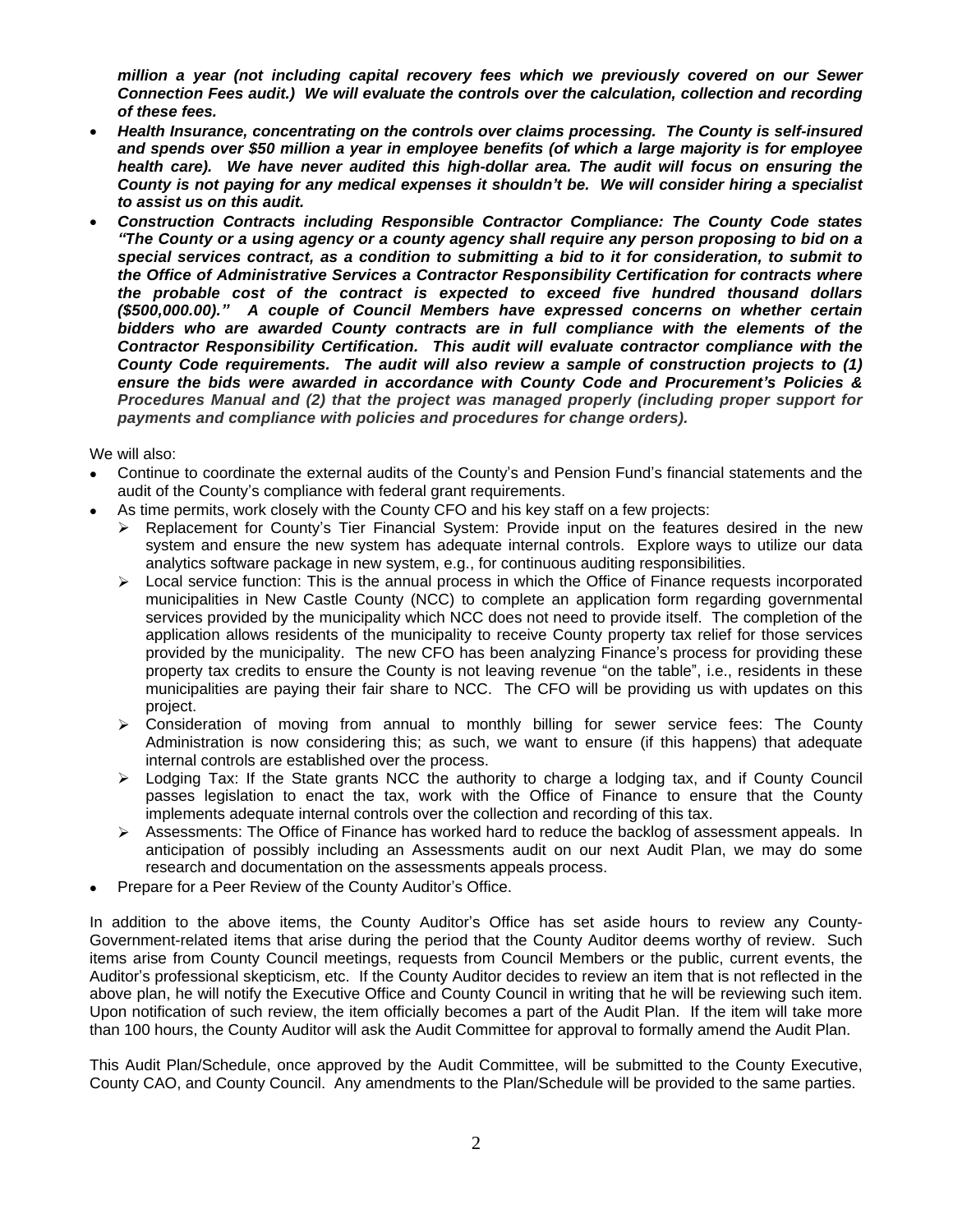*million a year (not including capital recovery fees which we previously covered on our Sewer Connection Fees audit.) We will evaluate the controls over the calculation, collection and recording of these fees.*

- *Health Insurance, concentrating on the controls over claims processing. The County is self-insured and spends over \$50 million a year in employee benefits (of which a large majority is for employee health care). We have never audited this high-dollar area. The audit will focus on ensuring the* County is not paying for any medical expenses it shouldn't be. We will consider hiring a specialist *to assist us on this audit.*
- *Construction Contracts including Responsible Contractor Compliance: The County Code states* "The County or a using agency or a county agency shall require any person proposing to bid on a *special services contract, as a condition to submitting a bid to it for consideration, to submit to the Office of Administrative Services a Contractor Responsibility Certification for contracts where the probable cost of the contract is expected to exceed five hundred thousand dollars (\$500,000.00)." A couple of Council Members have expressed concerns on whether certain bidders who are awarded County contracts are in full compliance with the elements of the Contractor Responsibility Certification. This audit will evaluate contractor compliance with the County Code requirements. The audit will also review a sample of construction projects to (1) ensure the bids were awarded in accordance with County Code and Procurement's Policies & Procedures Manual and (2) that the project was managed properly (including proper support for payments and compliance with policies and procedures for change orders).*

We will also:

- Continue to coordinate the external audits of the County's and Pension Fund's financial statements and the audit of the County's compliance with federal grant requirements.
- As time permits, work closely with the County CFO and his key staff on a few projects:
	- $\triangleright$  Replacement for County's Tier Financial System: Provide input on the features desired in the new system and ensure the new system has adequate internal controls. Explore ways to utilize our data analytics software package in new system, e.g., for continuous auditing responsibilities.
	- $\triangleright$  Local service function: This is the annual process in which the Office of Finance requests incorporated municipalities in New Castle County (NCC) to complete an application form regarding governmental services provided by the municipality which NCC does not need to provide itself. The completion of the application allows residents of the municipality to receive County property tax relief for those services provided by the municipality. The new CFO has been analyzing Finance's process for providing these property tax credits to ensure the County is not leaving revenue "on the table", i.e., residents in these municipalities are paying their fair share to NCC. The CFO will be providing us with updates on this project.
	- $\triangleright$  Consideration of moving from annual to monthly billing for sewer service fees: The County Administration is now considering this; as such, we want to ensure (if this happens) that adequate internal controls are established over the process.
	- > Lodging Tax: If the State grants NCC the authority to charge a lodging tax, and if County Council passes legislation to enact the tax, work with the Office of Finance to ensure that the County implements adequate internal controls over the collection and recording of this tax.
	- $\triangleright$  Assessments: The Office of Finance has worked hard to reduce the backlog of assessment appeals. In anticipation of possibly including an Assessments audit on our next Audit Plan, we may do some research and documentation on the assessments appeals process.
- Prepare for a Peer Review of the County Auditor's Office.

In addition to the above items, the County Auditor's Office has set aside hours to review any County-Government-related items that arise during the period that the County Auditor deems worthy of review. Such items arise from County Council meetings, requests from Council Members or the public, current events, the Auditor's professional skepticism, etc. If the County Auditor decides to review an item that is not reflected in the above plan, he will notify the Executive Office and County Council in writing that he will be reviewing such item. Upon notification of such review, the item officially becomes a part of the Audit Plan. If the item will take more than 100 hours, the County Auditor will ask the Audit Committee for approval to formally amend the Audit Plan.

This Audit Plan/Schedule, once approved by the Audit Committee, will be submitted to the County Executive, County CAO, and County Council. Any amendments to the Plan/Schedule will be provided to the same parties.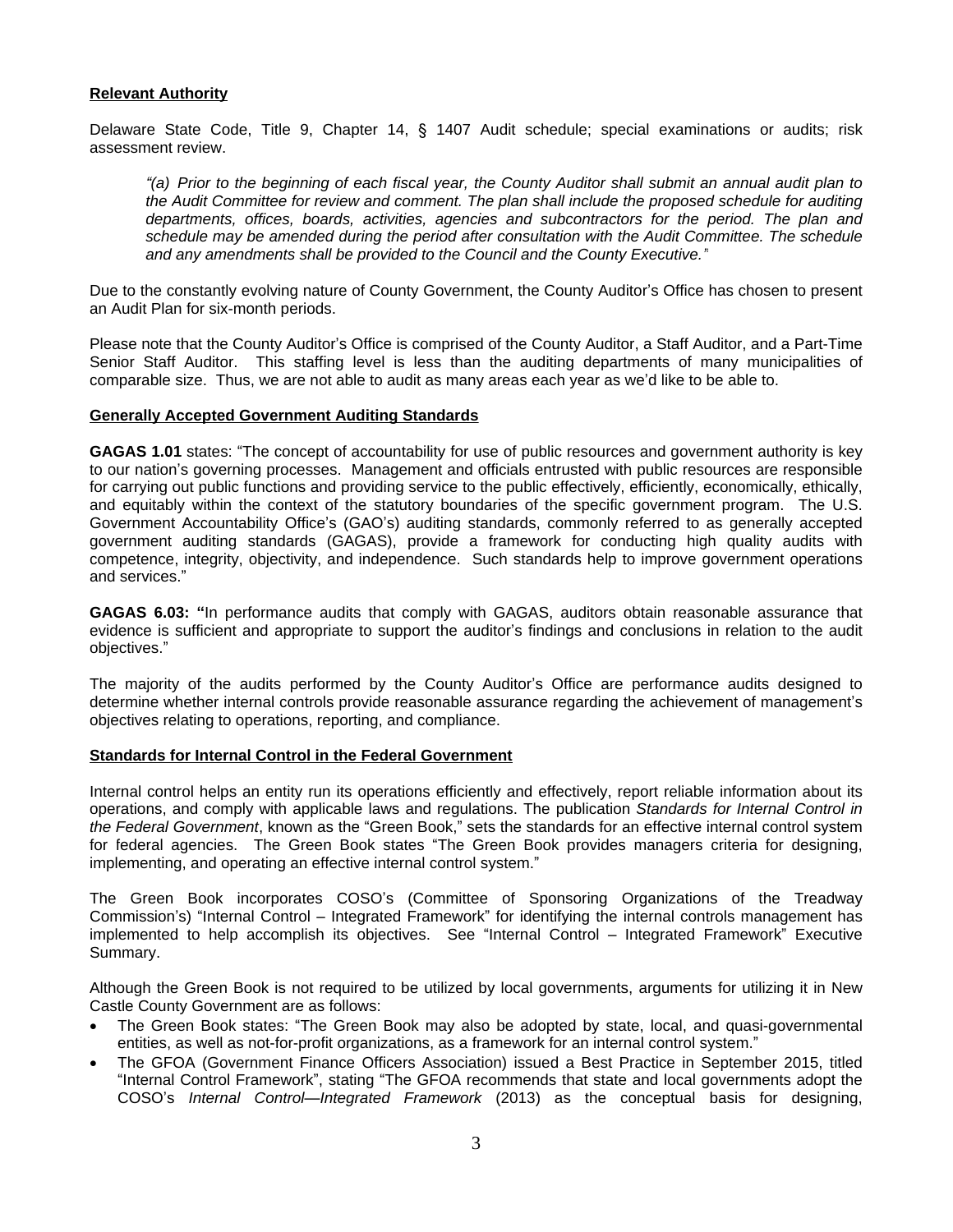## **Relevant Authority**

Delaware State Code, Title 9, Chapter 14, § 1407 Audit schedule; special examinations or audits; risk assessment review.

"(a) Prior to the beginning of each fiscal year, the County Auditor shall submit an annual audit plan to *the Audit Committee for review and comment. The plan shall include the proposed schedule for auditing departments, offices, boards, activities, agencies and subcontractors for the period. The plan and schedule may be amended during the period after consultation with the Audit Committee. The schedule and any amendments shall be provided to the Council and the County Executive."*

Due to the constantly evolving nature of County Government, the County Auditor's Office has chosen to present an Audit Plan for six-month periods.

Please note that the County Auditor's Office is comprised of the County Auditor, a Staff Auditor, and a Part-Time Senior Staff Auditor. This staffing level is less than the auditing departments of many municipalities of comparable size. Thus, we are not able to audit as many areas each year as we'd like to be able to.

## **Generally Accepted Government Auditing Standards**

**GAGAS 1.01** states: "The concept of accountability for use of public resources and government authority is key to our nation's governing processes. Management and officials entrusted with public resources are responsible for carrying out public functions and providing service to the public effectively, efficiently, economically, ethically, and equitably within the context of the statutory boundaries of the specific government program. The U.S. Government Accountability Office's (GAO's) auditing standards, commonly referred to as generally accepted government auditing standards (GAGAS), provide a framework for conducting high quality audits with competence, integrity, objectivity, and independence. Such standards help to improve government operations and services."

**GAGAS 6.03: "**In performance audits that comply with GAGAS, auditors obtain reasonable assurance that evidence is sufficient and appropriate to support the auditor's findings and conclusions in relation to the audit objectives."

The majority of the audits performed by the County Auditor's Office are performance audits designed to determine whether internal controls provide reasonable assurance regarding the achievement of management's objectives relating to operations, reporting, and compliance.

## **Standards for Internal Control in the Federal Government**

Internal control helps an entity run its operations efficiently and effectively, report reliable information about its operations, and comply with applicable laws and regulations. The publication *Standards for Internal Control in the Federal Government*, known as the "Green Book," sets the standards for an effective internal control system for federal agencies. The Green Book states "The Green Book provides managers criteria for designing, implementing, and operating an effective internal control system."

The Green Book incorporates COSO's (Committee of Sponsoring Organizations of the Treadway Commission's) "Internal Control – Integrated Framework" for identifying the internal controls management has implemented to help accomplish its objectives. See "Internal Control – Integrated Framework" Executive Summary.

Although the Green Book is not required to be utilized by local governments, arguments for utilizing it in New Castle County Government are as follows:

- The Green Book states: "The Green Book may also be adopted by state, local, and quasi-governmental entities, as well as not-for-profit organizations, as a framework for an internal control system."
- The GFOA (Government Finance Officers Association) issued a Best Practice in September 2015, titled "Internal Control Framework", stating "The GFOA recommends that state and local governments adopt the COSO's *Internal Control—Integrated Framework* (2013) as the conceptual basis for designing,